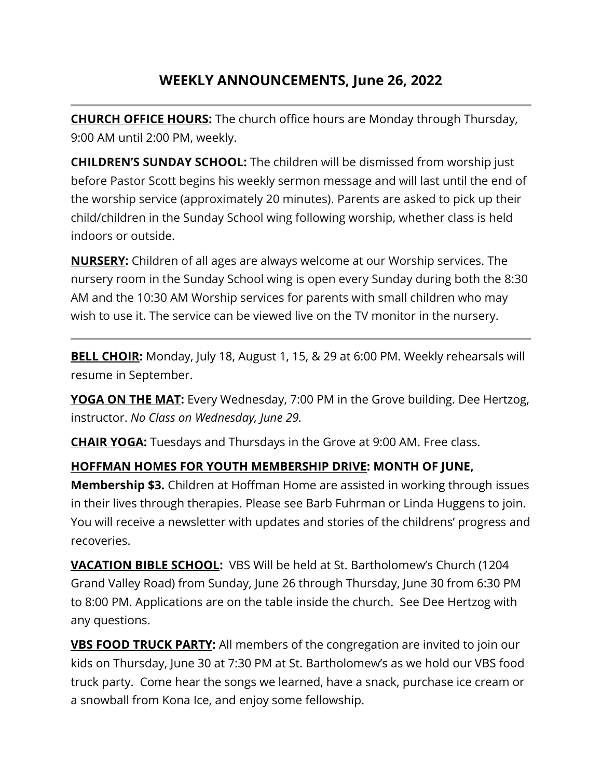# **WEEKLY ANNOUNCEMENTS, June 26, 2022**

**CHURCH OFFICE HOURS:** The church office hours are Monday through Thursday, 9:00 AM until 2:00 PM, weekly.

**CHILDREN'S SUNDAY SCHOOL:** The children will be dismissed from worship just before Pastor Scott begins his weekly sermon message and will last until the end of the worship service (approximately 20 minutes). Parents are asked to pick up their child/children in the Sunday School wing following worship, whether class is held indoors or outside.

**NURSERY:** Children of all ages are always welcome at our Worship services. The nursery room in the Sunday School wing is open every Sunday during both the 8:30 AM and the 10:30 AM Worship services for parents with small children who may wish to use it. The service can be viewed live on the TV monitor in the nursery.

**BELL CHOIR:** Monday, July 18, August 1, 15, & 29 at 6:00 PM. Weekly rehearsals will resume in September.

**YOGA ON THE MAT:** Every Wednesday, 7:00 PM in the Grove building. Dee Hertzog, instructor. *No Class on Wednesday, June 29.*

**CHAIR YOGA:** Tuesdays and Thursdays in the Grove at 9:00 AM. Free class.

## **HOFFMAN HOMES FOR YOUTH MEMBERSHIP DRIVE: MONTH OF JUNE,**

**Membership \$3.** Children at Hoffman Home are assisted in working through issues in their lives through therapies. Please see Barb Fuhrman or Linda Huggens to join. You will receive a newsletter with updates and stories of the childrens' progress and recoveries.

**VACATION BIBLE SCHOOL:** VBS Will be held at St. Bartholomew's Church (1204 Grand Valley Road) from Sunday, June 26 through Thursday, June 30 from 6:30 PM to 8:00 PM. Applications are on the table inside the church. See Dee Hertzog with any questions.

**VBS FOOD TRUCK PARTY:** All members of the congregation are invited to join our kids on Thursday, June 30 at 7:30 PM at St. Bartholomew's as we hold our VBS food truck party. Come hear the songs we learned, have a snack, purchase ice cream or a snowball from Kona Ice, and enjoy some fellowship.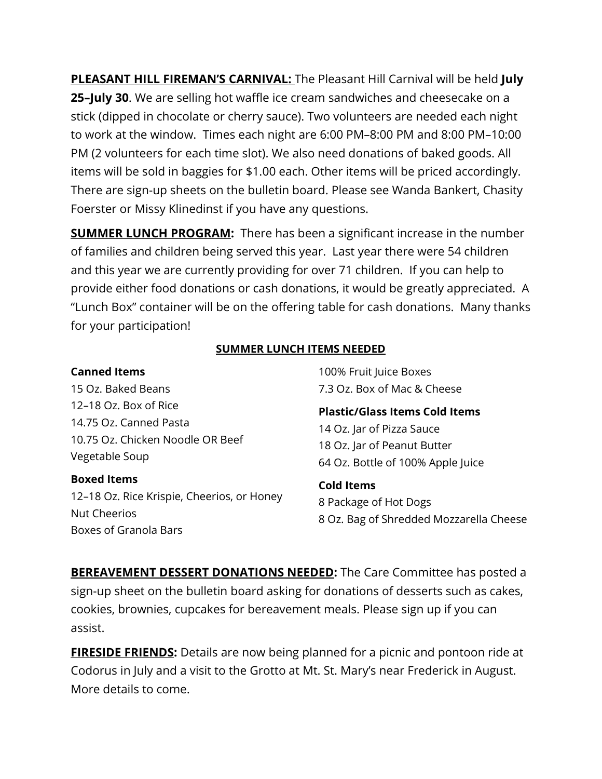**PLEASANT HILL FIREMAN'S CARNIVAL:** The Pleasant Hill Carnival will be held **July 25–July 30**. We are selling hot waffle ice cream sandwiches and cheesecake on a stick (dipped in chocolate or cherry sauce). Two volunteers are needed each night to work at the window. Times each night are 6:00 PM–8:00 PM and 8:00 PM–10:00 PM (2 volunteers for each time slot). We also need donations of baked goods. All items will be sold in baggies for \$1.00 each. Other items will be priced accordingly. There are sign-up sheets on the bulletin board. Please see Wanda Bankert, Chasity Foerster or Missy Klinedinst if you have any questions.

**SUMMER LUNCH PROGRAM:** There has been a significant increase in the number of families and children being served this year. Last year there were 54 children and this year we are currently providing for over 71 children. If you can help to provide either food donations or cash donations, it would be greatly appreciated. A "Lunch Box" container will be on the offering table for cash donations. Many thanks for your participation!

#### **SUMMER LUNCH ITEMS NEEDED**

#### **Canned Items**

15 Oz. Baked Beans 12–18 Oz. Box of Rice 14.75 Oz. Canned Pasta 10.75 Oz. Chicken Noodle OR Beef Vegetable Soup

#### **Boxed Items**

12–18 Oz. Rice Krispie, Cheerios, or Honey Nut Cheerios Boxes of Granola Bars

100% Fruit Juice Boxes 7.3 Oz. Box of Mac & Cheese

**Plastic/Glass Items Cold Items** 14 Oz. Jar of Pizza Sauce 18 Oz. Jar of Peanut Butter 64 Oz. Bottle of 100% Apple Juice

**Cold Items** 8 Package of Hot Dogs 8 Oz. Bag of Shredded Mozzarella Cheese

**BEREAVEMENT DESSERT DONATIONS NEEDED:** The Care Committee has posted a sign-up sheet on the bulletin board asking for donations of desserts such as cakes, cookies, brownies, cupcakes for bereavement meals. Please sign up if you can assist.

**FIRESIDE FRIENDS:** Details are now being planned for a picnic and pontoon ride at Codorus in July and a visit to the Grotto at Mt. St. Mary's near Frederick in August. More details to come.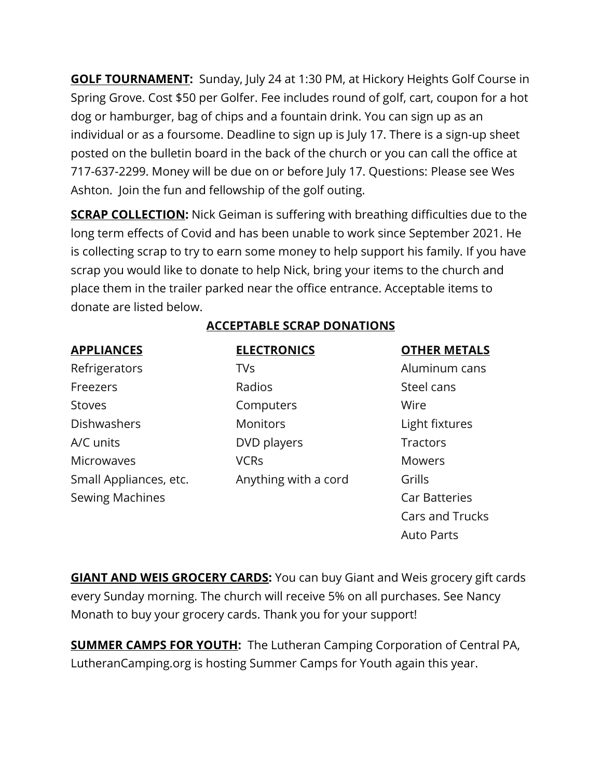**GOLF TOURNAMENT:** Sunday, July 24 at 1:30 PM, at Hickory Heights Golf Course in Spring Grove. Cost \$50 per Golfer. Fee includes round of golf, cart, coupon for a hot dog or hamburger, bag of chips and a fountain drink. You can sign up as an individual or as a foursome. Deadline to sign up is July 17. There is a sign-up sheet posted on the bulletin board in the back of the church or you can call the office at 717-637-2299. Money will be due on or before July 17. Questions: Please see Wes Ashton. Join the fun and fellowship of the golf outing.

**SCRAP COLLECTION:** Nick Geiman is suffering with breathing difficulties due to the long term effects of Covid and has been unable to work since September 2021. He is collecting scrap to try to earn some money to help support his family. If you have scrap you would like to donate to help Nick, bring your items to the church and place them in the trailer parked near the office entrance. Acceptable items to donate are listed below.

## **ACCEPTABLE SCRAP DONATIONS**

| <b>APPLIANCES</b>      | <b>ELECTRONICS</b>   | <b>OTHER METALS</b>    |
|------------------------|----------------------|------------------------|
| Refrigerators          | <b>TVs</b>           | Aluminum cans          |
| Freezers               | Radios               | Steel cans             |
| <b>Stoves</b>          | Computers            | Wire                   |
| Dishwashers            | <b>Monitors</b>      | Light fixtures         |
| A/C units              | DVD players          | Tractors               |
| <b>Microwaves</b>      | <b>VCRs</b>          | <b>Mowers</b>          |
| Small Appliances, etc. | Anything with a cord | Grills                 |
| <b>Sewing Machines</b> |                      | <b>Car Batteries</b>   |
|                        |                      | <b>Cars and Trucks</b> |

**GIANT AND WEIS GROCERY CARDS:** You can buy Giant and Weis grocery gift cards every Sunday morning. The church will receive 5% on all purchases. See Nancy Monath to buy your grocery cards. Thank you for your support!

Auto Parts

**SUMMER CAMPS FOR YOUTH:** The Lutheran Camping Corporation of Central PA, LutheranCamping.org is hosting Summer Camps for Youth again this year.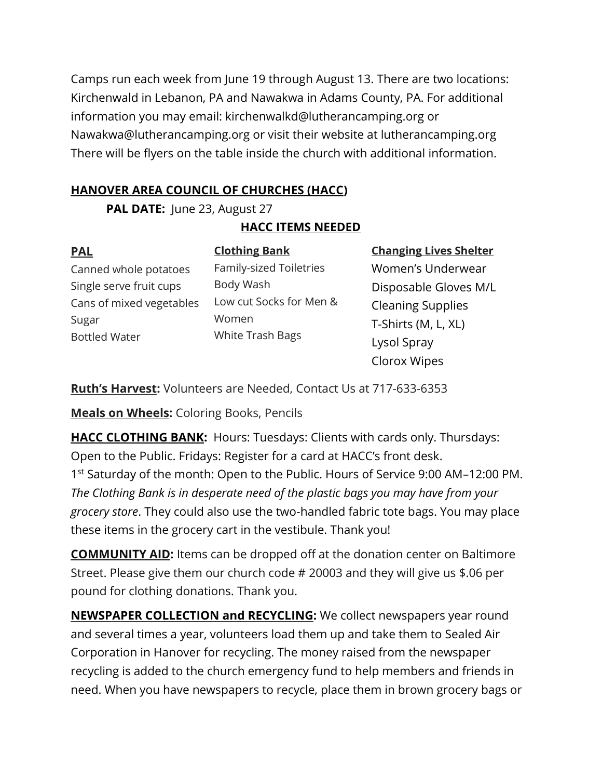Camps run each week from June 19 through August 13. There are two locations: Kirchenwald in Lebanon, PA and Nawakwa in Adams County, PA. For additional information you may email: kirchenwalkd@lutherancamping.org or Nawakwa@lutherancamping.org or visit their website at lutherancamping.org There will be flyers on the table inside the church with additional information.

# **HANOVER AREA COUNCIL OF CHURCHES (HACC)**

**PAL DATE:** June 23, August 27

# **HACC ITEMS NEEDED**

**PAL** Canned whole potatoes Single serve fruit cups Cans of mixed vegetables Sugar Bottled Water

**Clothing Bank** Family-sized Toiletries Body Wash Low cut Socks for Men & Women White Trash Bags

**Changing Lives Shelter** Women's Underwear Disposable Gloves M/L Cleaning Supplies T-Shirts (M, L, XL) Lysol Spray Clorox Wipes

**Ruth's Harvest:** Volunteers are Needed, Contact Us at 717-633-6353

**Meals on Wheels:** Coloring Books, Pencils

**HACC CLOTHING BANK:** Hours: Tuesdays: Clients with cards only. Thursdays: Open to the Public. Fridays: Register for a card at HACC's front desk. 1<sup>st</sup> Saturday of the month: Open to the Public. Hours of Service 9:00 AM-12:00 PM. *The Clothing Bank is in desperate need of the plastic bags you may have from your grocery store*. They could also use the two-handled fabric tote bags. You may place these items in the grocery cart in the vestibule. Thank you!

**COMMUNITY AID:** Items can be dropped off at the donation center on Baltimore Street. Please give them our church code # 20003 and they will give us \$.06 per pound for clothing donations. Thank you.

**NEWSPAPER COLLECTION and RECYCLING:** We collect newspapers year round and several times a year, volunteers load them up and take them to Sealed Air Corporation in Hanover for recycling. The money raised from the newspaper recycling is added to the church emergency fund to help members and friends in need. When you have newspapers to recycle, place them in brown grocery bags or